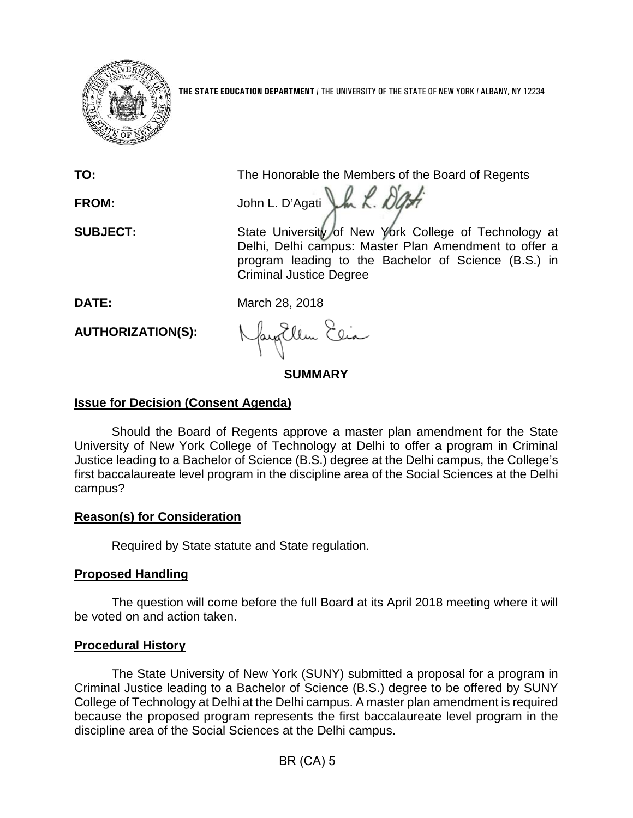

**THE STATE EDUCATION DEPARTMENT** / THE UNIVERSITY OF THE STATE OF NEW YORK / ALBANY, NY 12234

**TO:** The Honorable the Members of the Board of Regents

FROM: John L. D'Agati LA L. D'Afr

SUBJECT: State University of New York College of Technology at Delhi, Delhi campus: Master Plan Amendment to offer a program leading to the Bachelor of Science (B.S.) in Criminal Justice Degree

**DATE:** March 28, 2018

**AUTHORIZATION(S):**

Jay Ellen Elia

**SUMMARY**

# **Issue for Decision (Consent Agenda)**

Should the Board of Regents approve a master plan amendment for the State University of New York College of Technology at Delhi to offer a program in Criminal Justice leading to a Bachelor of Science (B.S.) degree at the Delhi campus, the College's first baccalaureate level program in the discipline area of the Social Sciences at the Delhi campus?

## **Reason(s) for Consideration**

Required by State statute and State regulation.

## **Proposed Handling**

The question will come before the full Board at its April 2018 meeting where it will be voted on and action taken.

### **Procedural History**

The State University of New York (SUNY) submitted a proposal for a program in Criminal Justice leading to a Bachelor of Science (B.S.) degree to be offered by SUNY College of Technology at Delhi at the Delhi campus. A master plan amendment is required because the proposed program represents the first baccalaureate level program in the discipline area of the Social Sciences at the Delhi campus.